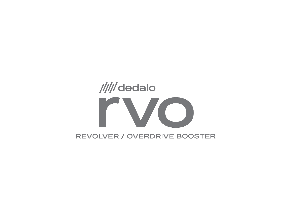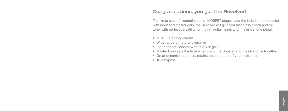#### **Congratulations, you got the Revolver!**

Thanks to a careful combination of MOSFET stages, and the independent booster with input and master gain, the Revolver will give you that classic rock and roll tone, with perfect versatility for rhythm guitar, leads and riffs in just one pedal.

- MOSFET analog circuit
- Wide range of natural overdrive
- Independent Booster with 20dB of gain
- Master knob sets the level when using the Booster and the Overdrive together
- Great dynamic response, retains the character of your instrument
- True bypass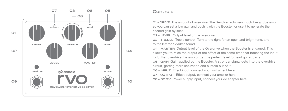

#### **Controls**

**01 - DRIVE** The amount of overdrive. The Revolver acts very much like a tube amp, so you can set a low gain and push it with the Booster, or use it to generate the needed gain by itself.

**02 - LEVEL** Output level of the overdrive.

**03 - TREBLE** Treble control. Turn to the right for an open and bright tone, and to the left for a darker sound.

**04 - MASTER** Output level of the Overdrive when the Booster is engaged. This allows you to raise the output of the effect at the same time that boosting the input, to further overdrive the amp or get the perfect level for lead guitar parts.

**05 - GAIN** Gain applied by the Booster. A stronger signal gets into the overdrive circuit, getting more saturation and sustain out of it.

**06 - INPUT** Effect input, connect your instrument here.

**07 - OUTPUT** Effect output, connect your amplier here.

**08 - DC 9V** Power supply input, connect your dc adapter here.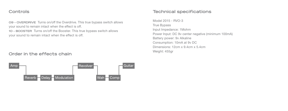#### **Controls**

**09 - OVERDRIVE** Turns on/off the Overdrive. This true bypass switch allows your sound to remain intact when the effect is off. **10 - BOOSTER** Turns on/off the Booster. This true bypass switch allows your sound to remain intact when the effect is off.

### **Order in the effects chain**



## **Technical specifications**

Model 2015 - RVO-3 True Bypass Input Impedance: 1Mohm Power Input: DC 9v center negative (minimum 100mA) Battery power: 9v Alkaline Consumption: 10mA at 9v DC Dimensions: 12cm x 9.4cm x 5.4cm Weight: 455gr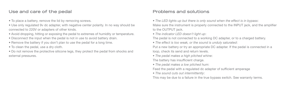## **Use and care of the pedal**

- To place a battery, remove the lid by removing screws.
- Use only regulated 9v dc adapter, with negative center polarity. In no way should be connected to 220V or adapters of other kinds.
- Avoid dropping, hitting or exposing the pedal to extremes of humidity or temperature.
- Disconnect the input when the pedal is not in use to avoid battery drain.
- Remove the battery if you don't plan to use the pedal for a long time.
- To clean the pedal, use a dry cloth.
- Do not remove the protective silicone legs, they protect the pedal from shocks and external pressures.

# **Problems and solutions**

- *The LED lights up but there is only sound when the effect is in bypass*: Make sure the instrument is properly connected to the INPUT jack, and the amplifier to the OUTPUT jack.
- *The indicator LED doesn't light up*:

The pedal is not connected to a working DC adapter, or to a charged battery.

*• The effect is too weak, or the sound is unduly saturated*:

Put a new battery or try an appropriate DC adapter. If the pedal is connected in a loop, check its send and return levels.

*• The pedal makes a high pitched whine*:

The battery has insufficient charge.

*• The pedal makes a low pitched hum*:

Feed the pedal with a regulated dc adapter of sufficient amperage

*• The sound cuts out intermittently*:

This may be due to a failure in the true bypass switch. See warranty terms.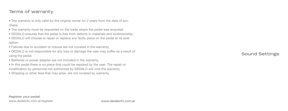## **Terms of warranty**

- The warranty is only valid for the original owner for 2 years from the date of purchase.
- The warranty must be requested on the trade where the pedal was acquired.
- DEDALO ensures that the pedal is free from defects in materials and workmanship.
- DEDALO will choose to repair or replace any faulty piece on the pedal at its sole option.
- Failures due to accident or misuse are not covered in the warranty.
- DEDALO is not responsible for any loss or damage the user may suffer as a result of using the pedal.
- Batteries or power adapter are not included in the warranty.
- In this pedal there is no piece that could be repaired by the user. The repair or modification by personnel not authorized by DEDALO will void the warranty.
- Shipping or other fees that may arise, are not covered by warranty.

**Sound Settings**

**Register your pedal!** www.dedalofx.com.ar/register **www.dedalofx.com.ar**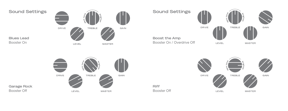







**Garage Rock** Booster Off

**Blues Lead** Booster On

**Riff** Booster Off

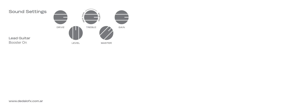